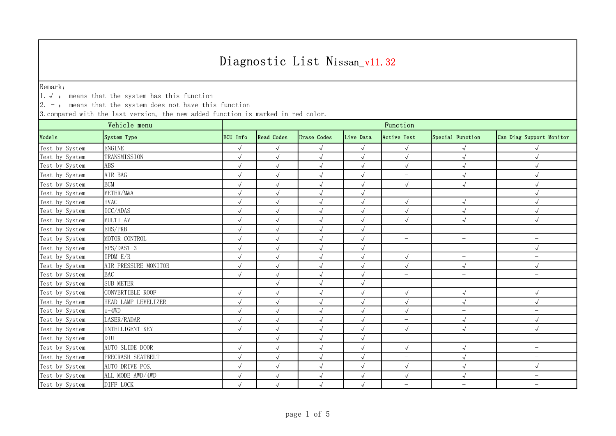Remark:

1.√ : means that the system has this function

 $\vert 2.$  -: means that the system does not have this function

| Vehicle menu   |                        | Function                 |                      |              |              |                          |                          |                          |  |
|----------------|------------------------|--------------------------|----------------------|--------------|--------------|--------------------------|--------------------------|--------------------------|--|
| Models         | System Type            | ECU Info                 | <b>Read Codes</b>    | Erase Codes  | Live Data    | Active Test              | Special Function         | Can Diag Support Monitor |  |
| Test by System | <b>ENGINE</b>          | $\sqrt{}$                | $\sqrt{ }$           | $\sqrt{}$    | $\sqrt{ }$   |                          |                          |                          |  |
| Test by System | TRANSMISSION           | $\sqrt{ }$               | $\sqrt{ }$           | $\sqrt{}$    | $\sqrt{ }$   | $\sqrt{ }$               |                          |                          |  |
| Test by System | ABS                    | $\sqrt{ }$               | $\sqrt{}$            | $\sqrt{}$    | $\sqrt{}$    | $\sqrt{ }$               | $\sqrt{}$                | $\sqrt{ }$               |  |
| Test by System | AIR BAG                | $\sqrt{}$                | $\sqrt{}$            | $\sqrt{ }$   | $\sqrt{}$    | $\overline{\phantom{m}}$ |                          |                          |  |
| Test by System | <b>BCM</b>             | $\sqrt{}$                | $\sqrt{}$            | $\sqrt{ }$   | $\sqrt{}$    | $\sqrt{ }$               | $\sqrt{ }$               |                          |  |
| Test by System | METER/M&A              | $\sqrt{}$                | $\sqrt{}$            | $\sqrt{}$    | $\sqrt{}$    | $\overline{\phantom{0}}$ | $\qquad \qquad -$        |                          |  |
| Test by System | <b>HVAC</b>            | $\sqrt{ }$               | $\sqrt{\phantom{a}}$ | $\sqrt{}$    | $\checkmark$ | $\sqrt{ }$               | $\sqrt{ }$               |                          |  |
| Test by System | ICC/ADAS               | $\sqrt{ }$               | $\sqrt{ }$           | $\sqrt{}$    | $\sqrt{}$    | $\sqrt{ }$               |                          |                          |  |
| Test by System | MULTI AV               | $\sqrt{ }$               | $\sqrt{\phantom{a}}$ | $\sqrt{ }$   | $\sqrt{}$    | $\sqrt{ }$               | $\sqrt{}$                | $\sqrt{}$                |  |
| Test by System | EHS/PKB                | $\sqrt{ }$               | $\sqrt{}$            | $\sqrt{}$    | $\sqrt{}$    | $\overline{\phantom{0}}$ | $\overline{\phantom{0}}$ | $\overline{\phantom{m}}$ |  |
| Test by System | MOTOR CONTROL          | $\sqrt{ }$               | $\sqrt{ }$           | $\sqrt{ }$   | $\sqrt{ }$   | $\overline{\phantom{m}}$ | $\overline{\phantom{a}}$ | $\overline{\phantom{m}}$ |  |
| Test by System | EPS/DAST 3             | $\sqrt{ }$               | $\sqrt{ }$           | $\sqrt{}$    | $\sqrt{2}$   | $\overline{\phantom{m}}$ | $\overline{\phantom{a}}$ | $\sqrt{ }$               |  |
| Test by System | IPDM E/R               | $\checkmark$             | $\sqrt{\phantom{a}}$ | $\sqrt{ }$   | $\sqrt{ }$   | $\sqrt{ }$               | $\qquad \qquad -$        | $\overline{\phantom{m}}$ |  |
| Test by System | AIR PRESSURE MONITOR   | $\sqrt{ }$               | $\sqrt{}$            | $\sqrt{ }$   | $\sqrt{2}$   | $\sqrt{ }$               | $\sqrt{ }$               | $\sqrt{ }$               |  |
| Test by System | <b>BAC</b>             | $\sqrt{ }$               | $\sqrt{}$            | $\sqrt{}$    | $\sqrt{}$    | $\overline{\phantom{0}}$ | $\qquad \qquad -$        | $\overline{\phantom{m}}$ |  |
| Test by System | <b>SUB METER</b>       | $\overline{\phantom{m}}$ | $\sqrt{}$            | $\sqrt{}$    | $\sqrt{}$    | $\overline{\phantom{m}}$ | $\overline{\phantom{0}}$ | $\overline{\phantom{m}}$ |  |
| Test by System | CONVERTIBLE ROOF       | $\sqrt{\phantom{a}}$     | $\sqrt{ }$           | $\checkmark$ | $\sqrt{}$    | $\sqrt{ }$               | $\sqrt{ }$               | $\sqrt{ }$               |  |
| Test by System | HEAD LAMP LEVELIZER    | $\sqrt{}$                | $\sqrt{ }$           | $\checkmark$ | $\sqrt{}$    | $\sqrt{}$                | $\sqrt{ }$               | $\sqrt{ }$               |  |
| Test by System | $e-4WD$                | $\sqrt{ }$               | $\sqrt{ }$           | $\sqrt{}$    | $\sqrt{}$    | $\sqrt{}$                | $\overline{\phantom{0}}$ | $\overline{\phantom{0}}$ |  |
| Test by System | LASER/RADAR            | $\sqrt{ }$               | $\sqrt{}$            | $\sqrt{}$    | $\sqrt{ }$   | $\overline{\phantom{0}}$ |                          |                          |  |
| Test by System | <b>INTELLIGENT KEY</b> | $\sqrt{ }$               | $\sqrt{ }$           | $\sqrt{ }$   | $\sqrt{}$    | $\sqrt{ }$               | $\sqrt{ }$               | $\sqrt{ }$               |  |
| Test by System | DIU                    | $-$                      | $\sqrt{}$            | $\sqrt{ }$   | $\sqrt{}$    | $\overline{\phantom{m}}$ | $\qquad \qquad -$        | $\overline{\phantom{m}}$ |  |
| Test by System | AUTO SLIDE DOOR        | $\sqrt{ }$               | $\sqrt{ }$           | $\checkmark$ | $\sqrt{ }$   | $\sqrt{ }$               | $\sqrt{ }$               | $\overline{\phantom{m}}$ |  |
| Test by System | PRECRASH SEATBELT      | $\sqrt{ }$               | $\checkmark$         | $\checkmark$ | $\sqrt{}$    | $\overline{\phantom{0}}$ |                          | $\overline{\phantom{m}}$ |  |
| Test by System | AUTO DRIVE POS.        | $\sqrt{}$                | $\sqrt{}$            | $\sqrt{ }$   | $\sqrt{ }$   | $\sqrt{ }$               | $\sqrt{ }$               | $\sqrt{ }$               |  |
| Test by System | ALL MODE AWD/4WD       | $\sqrt{}$                | $\sqrt{ }$           | $\sqrt{}$    | $\sqrt{}$    | $\sqrt{ }$               | $\sqrt{}$                | $\overline{\phantom{m}}$ |  |
| Test by System | DIFF LOCK              | $\sqrt{}$                | $\sqrt{ }$           | $\sqrt{}$    | $\sqrt{ }$   | $\overline{\phantom{0}}$ | $\qquad \qquad -$        | $\overline{\phantom{m}}$ |  |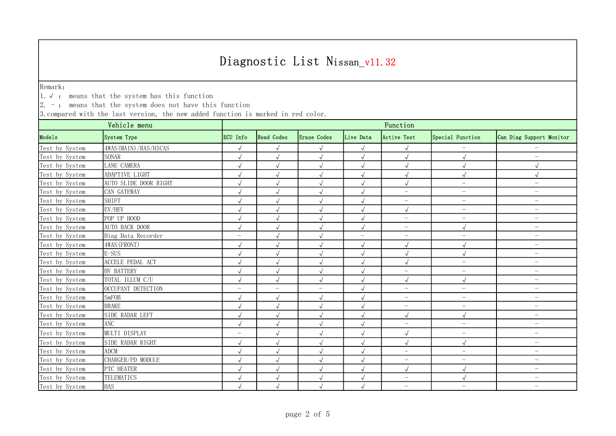Remark:

1.√ : means that the system has this function

 $\vert 2.$  -: means that the system does not have this function

| Vehicle menu   |                         | Function                 |                          |                          |                          |                          |                          |                          |  |
|----------------|-------------------------|--------------------------|--------------------------|--------------------------|--------------------------|--------------------------|--------------------------|--------------------------|--|
| Models         | System Type             | ECU Info                 | <b>Read Codes</b>        | Erase Codes              | Live Data                | Active Test              | Special Function         | Can Diag Support Monitor |  |
| Test by System | 4WAS (MAIN) / RAS/HICAS | $\sqrt{ }$               | $\sqrt{ }$               | $\sqrt{ }$               | $\sqrt{ }$               |                          |                          |                          |  |
| Test by System | <b>SONAR</b>            | $\sqrt{ }$               | $\sqrt{ }$               |                          | $\sqrt{ }$               |                          | $\sqrt{}$                | $\overline{\phantom{0}}$ |  |
| Test by System | LANE CAMERA             | $\sqrt{}$                | $\sqrt{ }$               |                          | $\sqrt{ }$               |                          | $\sqrt{}$                | $\sqrt{}$                |  |
| Test by System | ADAPTIVE LIGHT          | $\sqrt{ }$               | $\sqrt{ }$               |                          | $\sqrt{ }$               |                          | $\sqrt{ }$               |                          |  |
| Test by System | AUTO SLIDE DOOR RIGHT   | $\sqrt{}$                | $\sqrt{ }$               |                          | $\sqrt{ }$               | $\sqrt{\phantom{a}}$     | $\overline{\phantom{m}}$ | $\overline{\phantom{m}}$ |  |
| Test by System | CAN GATEWAY             | $\sqrt{}$                | $\sqrt{ }$               |                          |                          | $\overline{\phantom{0}}$ | $\overline{\phantom{m}}$ | $\overline{\phantom{0}}$ |  |
| Test by System | <b>SHIFT</b>            | $\sqrt{ }$               | $\sqrt{ }$               | $\sqrt{ }$               | $\sqrt{ }$               | $\overline{\phantom{0}}$ | $\overline{\phantom{a}}$ | $\overline{\phantom{0}}$ |  |
| Test by System | EV/HEV                  | $\sqrt{}$                |                          |                          | $\sqrt{}$                | $\sqrt{}$                | $\overline{\phantom{m}}$ | $\overline{\phantom{m}}$ |  |
| Test by System | POP UP HOOD             |                          |                          |                          |                          | $\overline{\phantom{0}}$ | $\overline{\phantom{m}}$ | $\overline{\phantom{m}}$ |  |
| Test by System | AUTO BACK DOOR          | $\sqrt{ }$               | $\sqrt{ }$               | $\sqrt{ }$               | $\sqrt{ }$               | $\qquad \qquad -$        | $\sqrt{ }$               | $\overline{\phantom{m}}$ |  |
| Test by System | Diag Data Recorder      | $\overline{\phantom{0}}$ | $\sqrt{ }$               | $\sqrt{ }$               | $\overline{\phantom{m}}$ | $\overline{\phantom{0}}$ | $\overline{\phantom{m}}$ | $\qquad \qquad -$        |  |
| Test by System | 4WAS (FRONT)            | $\sqrt{ }$               | $\sqrt{}$                |                          | $\sqrt{ }$               | $\sqrt{ }$               | $\sqrt{2}$               | $\overline{\phantom{m}}$ |  |
| Test by System | $E-SUS$                 | $\sqrt{ }$               | $\sqrt{}$                | $\sqrt{}$                | $\sqrt{}$                | $\sqrt{}$                | $\sqrt{}$                | $\overline{\phantom{0}}$ |  |
| Test by System | ACCELE PEDAL ACT        | $\sqrt{ }$               |                          |                          | $\sqrt{}$                | $\sqrt{ }$               | $\overline{\phantom{m}}$ | $\overline{\phantom{m}}$ |  |
| Test by System | HV BATTERY              | $\sqrt{ }$               | $\sqrt{ }$               |                          | J                        | $\overline{\phantom{0}}$ | $\overline{\phantom{0}}$ | $\overline{\phantom{m}}$ |  |
| Test by System | TOTAL ILLUM C/U         | $\sqrt{ }$               | $\sqrt{ }$               | $\sqrt{ }$               | $\sqrt{ }$               | $\sqrt{ }$               | $\sqrt{ }$               | $\overline{\phantom{m}}$ |  |
| Test by System | OCCUPANT DETECTION      | $\overline{\phantom{0}}$ | $\overline{\phantom{m}}$ | $\overline{\phantom{m}}$ | $\sqrt{}$                | $\overline{\phantom{0}}$ | $\overline{\phantom{0}}$ | $\overline{\phantom{m}}$ |  |
| Test by System | SmFOB                   | $\sqrt{}$                | $\sqrt{}$                | $\sqrt{ }$               | $\sqrt{ }$               | $\overline{\phantom{0}}$ | $\overline{\phantom{0}}$ | $\overline{\phantom{m}}$ |  |
| Test by System | <b>BRAKE</b>            | $\sqrt{ }$               | $\sqrt{}$                | $\sqrt{}$                | $\sqrt{}$                | $\overline{\phantom{0}}$ | $\overline{\phantom{m}}$ | $\overline{\phantom{0}}$ |  |
| Test by System | SIDE RADAR LEFT         | $\sqrt{ }$               | $\sqrt{ }$               | $\sqrt{ }$               |                          | $\sqrt{ }$               | $\sqrt{}$                | $\overline{\phantom{0}}$ |  |
| Test by System | ANC                     | $\sqrt{ }$               | $\sqrt{ }$               | $\sqrt{}$                | $\sqrt{ }$               | $\overline{\phantom{0}}$ | $\overline{\phantom{m}}$ | $\overline{\phantom{0}}$ |  |
| Test by System | MULTI DISPLAY           | $\overline{\phantom{0}}$ | $\sqrt{}$                | $\checkmark$             | $\sqrt{ }$               | $\sqrt{ }$               | $\overline{\phantom{0}}$ | $\overline{\phantom{m}}$ |  |
| Test by System | SIDE RADAR RIGHT        | $\sqrt{ }$               | $\sqrt{ }$               | $\sqrt{ }$               | $\sqrt{ }$               | $\sqrt{}$                | $\sqrt{ }$               | $\overline{\phantom{0}}$ |  |
| Test by System | <b>ADCM</b>             | $\sqrt{ }$               | $\sqrt{\phantom{a}}$     |                          | $\sqrt{ }$               | $\overline{\phantom{0}}$ | $\overline{\phantom{m}}$ | $\overline{\phantom{0}}$ |  |
| Test by System | CHARGER/PD MODULE       | $\sqrt{ }$               | $\sqrt{ }$               |                          | $\sqrt{ }$               | $\overline{\phantom{0}}$ | $\overline{\phantom{m}}$ | $\overline{\phantom{0}}$ |  |
| Test by System | PTC HEATER              | $\sqrt{ }$               | $\sqrt{ }$               |                          | $\sqrt{ }$               | $\sqrt{}$                | $\sqrt{2}$               | $\overline{\phantom{m}}$ |  |
| Test by System | TELEMATICS              | $\sqrt{ }$               | $\sqrt{ }$               | $\sqrt{ }$               | $\sqrt{ }$               | $\overline{\phantom{0}}$ | $\sqrt{2}$               | $\overline{\phantom{m}}$ |  |
| Test by System | <b>HAS</b>              | $\sqrt{ }$               | $\sqrt{ }$               |                          | $\sqrt{ }$               | $\overline{\phantom{0}}$ | $\overline{\phantom{0}}$ | $\overline{\phantom{m}}$ |  |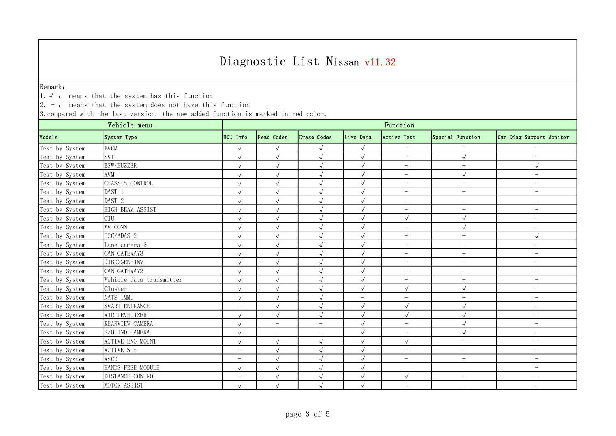Remark:

1.√ : means that the system has this function

 $\vert 2.$  -: means that the system does not have this function

| Vehicle menu   |                          | Function                 |                          |                          |                          |                          |                          |                          |  |
|----------------|--------------------------|--------------------------|--------------------------|--------------------------|--------------------------|--------------------------|--------------------------|--------------------------|--|
| Models         | System Type              | ECU Info                 | <b>Read Codes</b>        | Erase Codes              | Live Data                | Active Test              | Special Function         | Can Diag Support Monitor |  |
| Test by System | <b>EMCM</b>              | $\sqrt{ }$               | $\sqrt{ }$               | $\sqrt{ }$               | $\sqrt{ }$               | $\overline{\phantom{a}}$ | $\qquad \qquad -$        |                          |  |
| Test by System | <b>SVT</b>               | $\sqrt{ }$               | $\sqrt{ }$               | $\sqrt{ }$               | $\sqrt{ }$               | $\overline{\phantom{0}}$ | $\sqrt{ }$               | $\overline{\phantom{m}}$ |  |
| Test by System | <b>BSW/BUZZER</b>        | $\checkmark$             | $\checkmark$             | $\checkmark$             | $\sqrt{}$                | $\overline{\phantom{0}}$ | $\qquad \qquad -$        | $\sqrt{ }$               |  |
| Test by System | AVM                      | $\sqrt{ }$               | $\sqrt{ }$               | $\sqrt{ }$               | $\sqrt{ }$               | $\overline{\phantom{0}}$ | $\sqrt{ }$               | $\overline{\phantom{m}}$ |  |
| Test by System | CHASSIS CONTROL          | $\sqrt{ }$               | $\sqrt{ }$               | $\sqrt{ }$               | $\sqrt{ }$               | $\overline{\phantom{m}}$ | $\overline{\phantom{a}}$ | $\overline{\phantom{m}}$ |  |
| Test by System | DAST 1                   | $\sqrt{ }$               | $\sqrt{ }$               | $\sqrt{ }$               | $\sqrt{ }$               | $\overline{\phantom{m}}$ | $\qquad \qquad -$        | $\overline{\phantom{m}}$ |  |
| Test by System | DAST 2                   | $\sqrt{}$                | $\sqrt{}$                | $\sqrt{ }$               | $\sqrt{ }$               | $\overline{\phantom{0}}$ | $\qquad \qquad -$        | $\overline{\phantom{m}}$ |  |
| Test by System | HIGH BEAM ASSIST         | $\sqrt{}$                | $\sqrt{}$                | $\sqrt{ }$               | $\sqrt{}$                | $\overline{\phantom{m}}$ | $\qquad \qquad -$        | $\overline{\phantom{a}}$ |  |
| Test by System | CIU                      | $\sqrt{ }$               | $\sqrt{ }$               | $\sqrt{ }$               | $\sqrt{ }$               | $\sqrt{ }$               | $\sqrt{ }$               | $\overline{\phantom{m}}$ |  |
| Test by System | MM CONN                  | $\sqrt{}$                | $\sqrt{ }$               | $\sqrt{ }$               | $\sqrt{2}$               | $\overline{\phantom{0}}$ | $\sqrt{ }$               | $\overline{\phantom{m}}$ |  |
| Test by System | ICC/ADAS 2               | $\sqrt{2}$               | $\sqrt{ }$               | $\sqrt{ }$               | $\sqrt{ }$               | $\overline{\phantom{0}}$ | $\qquad \qquad -$        | $\sqrt{ }$               |  |
| Test by System | Lane camera 2            | $\sqrt{ }$               | $\sqrt{ }$               | $\sqrt{ }$               | $\sqrt{ }$               | $\overline{\phantom{m}}$ | $\overline{\phantom{a}}$ | $\overline{\phantom{m}}$ |  |
| Test by System | CAN GATEWAY3             | $\sqrt{}$                | $\checkmark$             | $\sqrt{}$                | $\sqrt{ }$               | $\overline{\phantom{m}}$ | $\qquad \qquad -$        | $\overline{\phantom{m}}$ |  |
| Test by System | (TBD) GEN-INV            | $\sqrt{ }$               | $\sqrt{}$                | $\sqrt{ }$               | $\sqrt{ }$               | $\overline{\phantom{0}}$ | $\qquad \qquad -$        | $\overline{\phantom{m}}$ |  |
| Test by System | CAN GATEWAY2             | $\sqrt{}$                | $\sqrt{}$                | $\sqrt{ }$               | $\sqrt{ }$               | $\overline{\phantom{0}}$ | $\overline{\phantom{0}}$ | $\overline{\phantom{a}}$ |  |
| Test by System | Vehicle data transmitter | $\sqrt{}$                | $\sqrt{ }$               | $\sqrt{ }$               | $\sqrt{}$                | $\overline{\phantom{m}}$ | -                        | $\overline{\phantom{m}}$ |  |
| Test by System | Cluster                  | $\sqrt{}$                | $\sqrt{ }$               | $\sqrt{ }$               | $\sqrt{ }$               | $\sqrt{ }$               | $\sqrt{ }$               | $\overline{\phantom{m}}$ |  |
| Test by System | NATS IMMU                | $\sqrt{ }$               | $\sqrt{ }$               | $\sqrt{ }$               | $\overline{\phantom{a}}$ | $\overline{\phantom{m}}$ | $\overline{\phantom{a}}$ | $\overline{\phantom{m}}$ |  |
| Test by System | SMART ENTRANCE           | $\overline{\phantom{0}}$ | $\sqrt{ }$               | $\sqrt{ }$               | $\sqrt{}$                | $\sqrt{ }$               |                          | $\overline{\phantom{m}}$ |  |
| Test by System | AIR LEVELIZER            | $\sqrt{ }$               | $\sqrt{ }$               | $\sqrt{ }$               | $\checkmark$             | $\sqrt{ }$               | $\sqrt{ }$               | $\overline{\phantom{m}}$ |  |
| Test by System | REARVIEW CAMERA          | $\sqrt{}$                | $\overline{\phantom{0}}$ | $\overline{\phantom{0}}$ | $\sqrt{2}$               | $\overline{\phantom{m}}$ | $\sqrt{ }$               | $\overline{\phantom{m}}$ |  |
| Test by System | S/BLIND CAMERA           | $\sqrt{}$                | $\overline{\phantom{0}}$ | $\overline{\phantom{0}}$ | $\sqrt{ }$               | $\overline{\phantom{m}}$ | $\sqrt{2}$               | $\overline{\phantom{0}}$ |  |
| Test by System | <b>ACTIVE ENG MOUNT</b>  | $\sqrt{ }$               | $\sqrt{ }$               | $\sqrt{ }$               | $\sqrt{ }$               | $\sqrt{ }$               | $\qquad \qquad -$        | $\overline{\phantom{a}}$ |  |
| Test by System | <b>ACTIVE SUS</b>        | $\overline{\phantom{0}}$ | $\sqrt{ }$               | $\sqrt{ }$               | $\sqrt{ }$               | $\overline{\phantom{0}}$ | $\qquad \qquad -$        | $\overline{\phantom{m}}$ |  |
| Test by System | <b>ASCD</b>              | $\overline{\phantom{m}}$ | $\sqrt{ }$               | $\sqrt{ }$               | $\sqrt{ }$               | $\overline{\phantom{0}}$ | $\overline{\phantom{m}}$ | $\overline{\phantom{m}}$ |  |
| Test by System | HANDS FREE MODULE        | $\sqrt{ }$               | $\sqrt{ }$               | $\sqrt{ }$               | $\sqrt{ }$               |                          |                          | $\overline{\phantom{m}}$ |  |
| Test by System | DISTANCE CONTROL         | $\overline{\phantom{0}}$ | $\checkmark$             | $\checkmark$             | $\sqrt{2}$               | $\sqrt{ }$               | $\qquad \qquad -$        | $\overline{\phantom{a}}$ |  |
| Test by System | MOTOR ASSIST             | $\sqrt{ }$               | $\sqrt{ }$               | $\sqrt{}$                | $\sqrt{ }$               | $\overline{\phantom{0}}$ | $\overline{\phantom{0}}$ | $\overline{\phantom{m}}$ |  |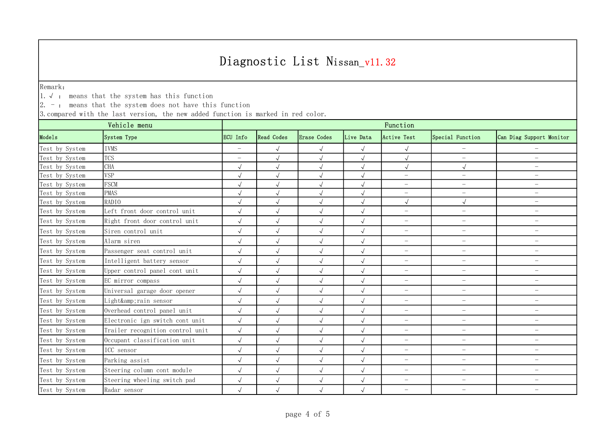Remark:

1.√ : means that the system has this function

 $\vert 2.$  -: means that the system does not have this function

| Vehicle menu   |                                  | Function                 |                      |              |            |                          |                          |                          |  |
|----------------|----------------------------------|--------------------------|----------------------|--------------|------------|--------------------------|--------------------------|--------------------------|--|
| Models         | System Type                      | ECU Info                 | <b>Read Codes</b>    | Erase Codes  | Live Data  | Active Test              | Special Function         | Can Diag Support Monitor |  |
| Test by System | <b>IVMS</b>                      | $\overline{\phantom{a}}$ | $\sqrt{ }$           | $\sqrt{ }$   | $\sqrt{ }$ | $\sqrt{}$                |                          |                          |  |
| Test by System | <b>TCS</b>                       | $\overline{\phantom{a}}$ | $\sqrt{ }$           | $\sqrt{}$    | $\sqrt{ }$ | $\sqrt{2}$               | $\overline{\phantom{0}}$ | $\overline{\phantom{0}}$ |  |
| Test by System | <b>CHA</b>                       | $\sqrt{ }$               | $\sqrt{ }$           |              | $\sqrt{ }$ | $\sqrt{}$                | $\sqrt{ }$               | $\qquad \qquad -$        |  |
| Test by System | <b>VSP</b>                       |                          |                      |              | $\sqrt{ }$ | $\overline{\phantom{0}}$ | $\qquad \qquad -$        | $\qquad \qquad -$        |  |
| Test by System | <b>FSCM</b>                      | $\sqrt{}$                |                      |              | $\sqrt{}$  | $\overline{\phantom{0}}$ | $\overline{\phantom{0}}$ | $\overline{\phantom{a}}$ |  |
| Test by System | <b>PMAS</b>                      | $\sqrt{ }$               | $\sqrt{ }$           | $\sqrt{}$    | $\sqrt{}$  | $\overline{\phantom{0}}$ | $-$                      | $-$                      |  |
| Test by System | RADIO                            |                          |                      |              |            | $\sqrt{ }$               | $\checkmark$             | $\qquad \qquad -$        |  |
| Test by System | Left front door control unit     | $\sqrt{ }$               | $\sqrt{ }$           | $\sqrt{}$    | $\sqrt{ }$ | $\overline{\phantom{0}}$ | $\overline{\phantom{0}}$ | $-$                      |  |
| Test by System | Right front door control unit    | $\sqrt{ }$               | $\sqrt{\phantom{a}}$ | $\sqrt{ }$   | $\sqrt{ }$ | $\overline{\phantom{0}}$ | $\overline{\phantom{0}}$ | $\qquad \qquad -$        |  |
| Test by System | Siren control unit               | $\sqrt{ }$               | $\sqrt{ }$           | $\sqrt{ }$   | $\sqrt{ }$ | $\overline{\phantom{0}}$ | $\overline{\phantom{m}}$ | $\qquad \qquad -$        |  |
| Test by System | Alarm siren                      | $\sqrt{ }$               | $\sqrt{ }$           | $\sqrt{}$    | $\sqrt{}$  | $\overline{\phantom{0}}$ | $\qquad \qquad -$        | $\qquad \qquad -$        |  |
| Test by System | Passenger seat control unit      | $\sqrt{}$                | $\sqrt{}$            | $\sqrt{ }$   | $\sqrt{ }$ | $\overline{\phantom{0}}$ | $\overline{\phantom{0}}$ | $\overline{\phantom{0}}$ |  |
| Test by System | Intelligent battery sensor       | $\sqrt{ }$               | $\sqrt{ }$           | $\sqrt{ }$   | $\sqrt{ }$ | $\overline{\phantom{0}}$ | $\overline{\phantom{0}}$ | $\overline{\phantom{0}}$ |  |
| Test by System | Upper control panel cont unit    | $\sqrt{ }$               | $\sqrt{ }$           | $\sqrt{ }$   | $\sqrt{ }$ | $\overline{\phantom{0}}$ | $\overline{\phantom{0}}$ | $\overline{\phantom{0}}$ |  |
| Test by System | EC mirror compass                | $\sqrt{ }$               | $\sqrt{ }$           | $\sqrt{ }$   | $\sqrt{ }$ | $\overline{\phantom{0}}$ | $\overline{\phantom{0}}$ | $\overline{\phantom{0}}$ |  |
| Test by System | Universal garage door opener     | $\sqrt{ }$               | $\sqrt{ }$           | $\sqrt{ }$   | $\sqrt{ }$ | $\overline{\phantom{0}}$ | $-$                      | $\qquad \qquad -$        |  |
| Test by System | Light&rain sensor                | $\sqrt{ }$               | $\sqrt{}$            | $\checkmark$ | $\sqrt{}$  | $\overline{\phantom{0}}$ | $\overline{\phantom{0}}$ | $\overline{\phantom{0}}$ |  |
| Test by System | Overhead control panel unit      | $\sqrt{ }$               | $\sqrt{ }$           | $\sqrt{}$    | $\sqrt{ }$ | $\overline{\phantom{m}}$ | $-$                      | $\qquad \qquad -$        |  |
| Test by System | Electronic ign switch cont unit  | $\sqrt{ }$               | $\sqrt{ }$           | $\sqrt{ }$   | $\sqrt{}$  | $\overline{\phantom{0}}$ | $\overline{\phantom{0}}$ | $\overline{\phantom{0}}$ |  |
| Test by System | Trailer recognition control unit | $\sqrt{}$                | $\checkmark$         | $\sqrt{ }$   | $\sqrt{}$  | $\overline{\phantom{0}}$ | $\qquad \qquad -$        | $\qquad \qquad -$        |  |
| Test by System | Occupant classification unit     | $\sqrt{ }$               | $\sqrt{}$            | $\sqrt{}$    | $\sqrt{ }$ | $\overline{\phantom{0}}$ | $-$                      | $\qquad \qquad -$        |  |
| Test by System | ICC sensor                       | $\sqrt{ }$               | $\sqrt{ }$           | $\sqrt{}$    | $\sqrt{ }$ | $\overline{\phantom{0}}$ | $-$                      | $-$                      |  |
| Test by System | Parking assist                   | $\sqrt{ }$               | $\sqrt{ }$           | $\sqrt{ }$   | $\sqrt{ }$ | $\overline{\phantom{0}}$ | $\qquad \qquad -$        | $\qquad \qquad -$        |  |
| Test by System | Steering column cont module      | $\sqrt{}$                | $\sqrt{ }$           | $\sqrt{ }$   | $\sqrt{}$  | $\overline{\phantom{0}}$ | $-$                      | $-$                      |  |
| Test by System | Steering wheeling switch pad     | $\sqrt{ }$               | $\sqrt{ }$           | $\sqrt{ }$   | $\sqrt{ }$ | $\overline{\phantom{0}}$ | $\overline{\phantom{0}}$ | $\overline{\phantom{0}}$ |  |
| Test by System | Radar sensor                     | $\sqrt{ }$               | $\sqrt{ }$           |              |            | $\overline{\phantom{m}}$ | $\overline{\phantom{m}}$ | $\qquad \qquad -$        |  |